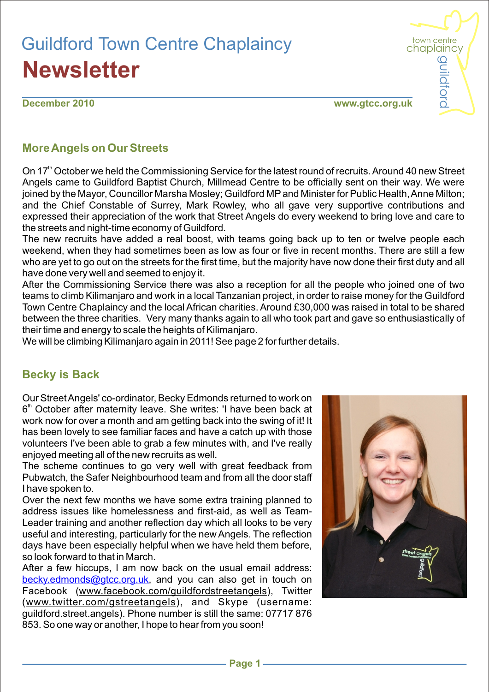# Guildford Town Centre Chaplaincy **Newsletter**

**December 2010**

**www.gtcc.org.uk**

town centre chaplaincy  $\Omega$ 

uildford

#### **More Angels on Our Streets**

On 17<sup>th</sup> October we held the Commissioning Service for the latest round of recruits. Around 40 new Street Angels came to Guildford Baptist Church, Millmead Centre to be officially sent on their way. We were joined by the Mayor, Councillor Marsha Mosley; Guildford MPand Minister for Public Health, Anne Milton; and the Chief Constable of Surrey, Mark Rowley, who all gave very supportive contributions and expressed their appreciation of the work that Street Angels do every weekend to bring love and care to the streets and night-time economy of Guildford.

The new recruits have added a real boost, with teams going back up to ten or twelve people each weekend, when they had sometimes been as low as four or five in recent months. There are still a few who are yet to go out on the streets for the first time, but the majority have now done their first duty and all have done very well and seemed to enjoy it.

After the Commissioning Service there was also a reception for all the people who joined one of two teams to climb Kilimanjaro and work in a local Tanzanian project, in order to raise money for the Guildford Town Centre Chaplaincy and the local African charities. Around £30,000 was raised in total to be shared between the three charities. Very many thanks again to all who took part and gave so enthusiastically of their time and energy to scale the heights of Kilimanjaro.

We will be climbing Kilimanjaro again in 2011! See page 2 for further details.

#### **Becky is Back**

Our Street Angels' co-ordinator, Becky Edmonds returned to work on 6<sup>th</sup> October after maternity leave. She writes: 'I have been back at work now for over a month and am getting back into the swing of it! It has been lovely to see familiar faces and have a catch up with those volunteers I've been able to grab a few minutes with, and I've really enjoyed meeting all of the new recruits as well.

The scheme continues to go very well with great feedback from Pubwatch, the Safer Neighbourhood team and from all the door staff I have spoken to.

Over the next few months we have some extra training planned to address issues like homelessness and first-aid, as well as Team-Leader training and another reflection day which all looks to be very useful and interesting, particularly for the new Angels. The reflection days have been especially helpful when we have held them before, so look forward to that in March.

After a few hiccups, I am now back on the usual email address: becky.edmonds@gtcc.org.uk, and you can also get in touch on Facebook (www.facebook.com/guildfordstreetangels), Twitter (www.twitter.com/gstreetangels), and Skype (username: guildford.street.angels). Phone number is still the same: 07717 876 853. So one way or another, I hope to hear from you soon!

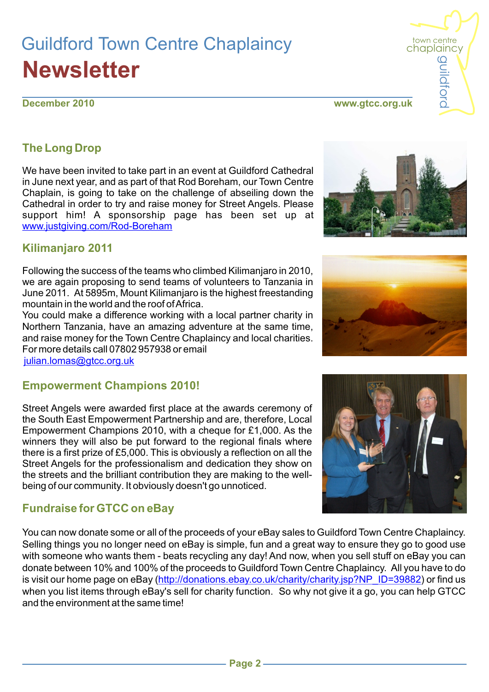# Guildford Town Centre Chaplaincy **Newsletter**

#### **December 2010**

## **The Long Drop**

We have been invited to take part in an event at Guildford Cathedral in June next year, and as part of that Rod Boreham, our Town Centre Chaplain, is going to take on the challenge of abseiling down the Cathedral in order to try and raise money for Street Angels. Please support him! A sponsorship page has been set up at www.justgiving.com/Rod-Boreham

#### **Kilimanjaro 2011**

Following the success of the teams who climbed Kilimanjaro in 2010, we are again proposing to send teams of volunteers to Tanzania in June 2011. At 5895m, Mount Kilimanjaro is the highest freestanding mountain in the world and the roof of Africa.

You could make a difference working with a local partner charity in Northern Tanzania, have an amazing adventure at the same time, and raise money for the Town Centre Chaplaincy and local charities. For more details call 07802 957938 or email julian.lomas@gtcc.org.uk

#### **Empowerment Champions 2010!**

Street Angels were awarded first place at the awards ceremony of the South East Empowerment Partnership and are, therefore, Local Empowerment Champions 2010, with a cheque for £1,000. As the winners they will also be put forward to the regional finals where there is a first prize of £5,000. This is obviously a reflection on all the Street Angels for the professionalism and dedication they show on the streets and the brilliant contribution they are making to the wellbeing of our community. It obviously doesn't go unnoticed.

### **Fundraise for GTCC on eBay**

You can now donate some or all of the proceeds of your eBay sales to Guildford Town Centre Chaplaincy. Selling things you no longer need on eBay is simple, fun and a great way to ensure they go to good use with someone who wants them - beats recycling any day! And now, when you sell stuff on eBay you can donate between 10% and 100% of the proceeds to Guildford Town Centre Chaplaincy. All you have to do is visit our home page on eBay (<u>http://donations.ebay.co.uk/charity/charity.jsp?NP\_ID=39882</u>) or find us when you list items through eBay's sell for charity function. So why not give it a go, you can help GTCC and the environment at the same time!